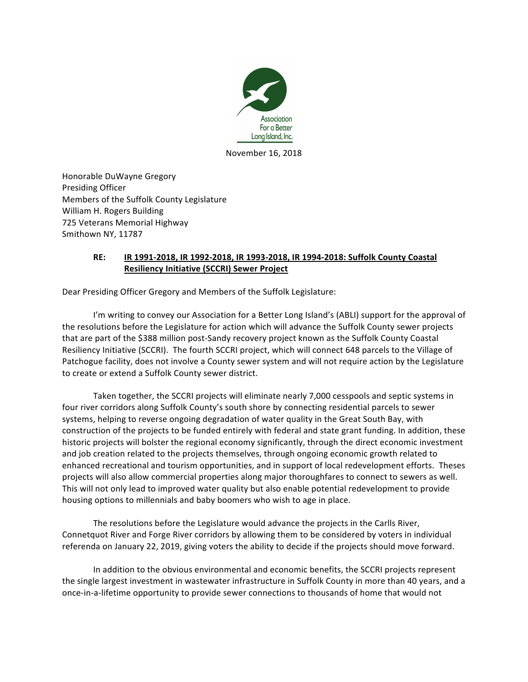

November 16, 2018

Honorable DuWayne Gregory Presiding Officer Members of the Suffolk County Legislature William H. Rogers Building 725 Veterans Memorial Highway Smithown NY, 11787

## **RE: IR 1991-2018, IR 1992-2018, IR 1993-2018, IR 1994-2018: Suffolk County Coastal Resiliency Initiative (SCCRI) Sewer Project**

Dear Presiding Officer Gregory and Members of the Suffolk Legislature:

I'm writing to convey our Association for a Better Long Island's (ABLI) support for the approval of the resolutions before the Legislature for action which will advance the Suffolk County sewer projects that are part of the \$388 million post-Sandy recovery project known as the Suffolk County Coastal Resiliency Initiative (SCCRI). The fourth SCCRI project, which will connect 648 parcels to the Village of Patchogue facility, does not involve a County sewer system and will not require action by the Legislature to create or extend a Suffolk County sewer district.

Taken together, the SCCRI projects will eliminate nearly 7,000 cesspools and septic systems in four river corridors along Suffolk County's south shore by connecting residential parcels to sewer systems, helping to reverse ongoing degradation of water quality in the Great South Bay, with construction of the projects to be funded entirely with federal and state grant funding. In addition, these historic projects will bolster the regional economy significantly, through the direct economic investment and job creation related to the projects themselves, through ongoing economic growth related to enhanced recreational and tourism opportunities, and in support of local redevelopment efforts. Theses projects will also allow commercial properties along major thoroughfares to connect to sewers as well. This will not only lead to improved water quality but also enable potential redevelopment to provide housing options to millennials and baby boomers who wish to age in place.

The resolutions before the Legislature would advance the projects in the Carlls River, Connetquot River and Forge River corridors by allowing them to be considered by voters in individual referenda on January 22, 2019, giving voters the ability to decide if the projects should move forward.

In addition to the obvious environmental and economic benefits, the SCCRI projects represent the single largest investment in wastewater infrastructure in Suffolk County in more than 40 years, and a once-in-a-lifetime opportunity to provide sewer connections to thousands of home that would not